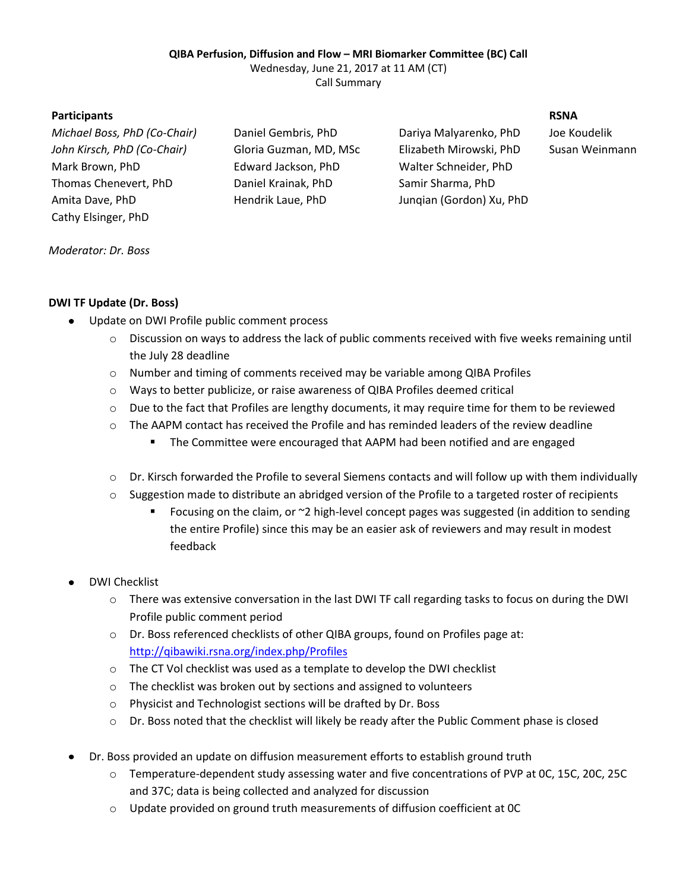## **QIBA Perfusion, Diffusion and Flow – MRI Biomarker Committee (BC) Call**

Wednesday, June 21, 2017 at 11 AM (CT)

Call Summary

# **Participants RSNA**

*Michael Boss, PhD (Co-Chair)* Daniel Gembris, PhD Dariya Malyarenko, PhD Joe Koudelik *John Kirsch, PhD (Co-Chair)* Gloria Guzman, MD, MSc Elizabeth Mirowski, PhD Susan Weinmann Mark Brown, PhD Edward Jackson, PhD Walter Schneider, PhD Thomas Chenevert, PhD Daniel Krainak, PhD Samir Sharma, PhD Amita Dave, PhD Hendrik Laue, PhD Junqian (Gordon) Xu, PhD Cathy Elsinger, PhD

### *Moderator: Dr. Boss*

# **DWI TF Update (Dr. Boss)**

- Update on DWI Profile public comment process
	- o Discussion on ways to address the lack of public comments received with five weeks remaining until the July 28 deadline
	- o Number and timing of comments received may be variable among QIBA Profiles
	- o Ways to better publicize, or raise awareness of QIBA Profiles deemed critical
	- o Due to the fact that Profiles are lengthy documents, it may require time for them to be reviewed
	- $\circ$  The AAPM contact has received the Profile and has reminded leaders of the review deadline
		- The Committee were encouraged that AAPM had been notified and are engaged
	- o Dr. Kirsch forwarded the Profile to several Siemens contacts and will follow up with them individually
	- $\circ$  Suggestion made to distribute an abridged version of the Profile to a targeted roster of recipients
		- Focusing on the claim, or  $\approx$  2 high-level concept pages was suggested (in addition to sending the entire Profile) since this may be an easier ask of reviewers and may result in modest feedback
- DWI Checklist
	- o There was extensive conversation in the last DWI TF call regarding tasks to focus on during the DWI Profile public comment period
	- o Dr. Boss referenced checklists of other QIBA groups, found on Profiles page at: <http://qibawiki.rsna.org/index.php/Profiles>
	- o The CT Vol checklist was used as a template to develop the DWI checklist
	- o The checklist was broken out by sections and assigned to volunteers
	- o Physicist and Technologist sections will be drafted by Dr. Boss
	- $\circ$  Dr. Boss noted that the checklist will likely be ready after the Public Comment phase is closed
- Dr. Boss provided an update on diffusion measurement efforts to establish ground truth
	- o Temperature-dependent study assessing water and five concentrations of PVP at 0C, 15C, 20C, 25C and 37C; data is being collected and analyzed for discussion
	- o Update provided on ground truth measurements of diffusion coefficient at 0C